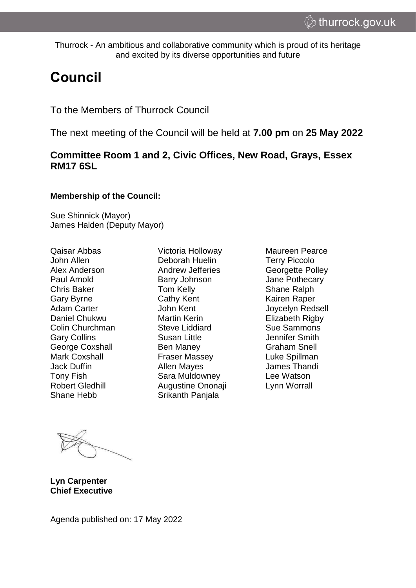Thurrock - An ambitious and collaborative community which is proud of its heritage and excited by its diverse opportunities and future

# **Council**

To the Members of Thurrock Council

The next meeting of the Council will be held at **7.00 pm** on **25 May 2022**

# **Committee Room 1 and 2, Civic Offices, New Road, Grays, Essex RM17 6SL**

#### **Membership of the Council:**

Sue Shinnick (Mayor) James Halden (Deputy Mayor)

Qaisar Abbas John Allen Alex Anderson Paul Arnold Chris Baker Gary Byrne Adam Carter Daniel Chukwu Colin Churchman Gary Collins George Coxshall Mark Coxshall Jack Duffin Tony Fish Robert Gledhill Shane Hebb

Victoria Holloway Deborah Huelin Andrew Jefferies Barry Johnson Tom Kelly Cathy Kent John Kent Martin Kerin Steve Liddiard Susan Little Ben Maney Fraser Massey Allen Mayes Sara Muldowney Augustine Ononaji Srikanth Panjala

Maureen Pearce Terry Piccolo Georgette Polley Jane Pothecary Shane Ralph Kairen Raper Joycelyn Redsell Elizabeth Rigby Sue Sammons Jennifer Smith Graham Snell Luke Spillman James Thandi Lee Watson Lynn Worrall

**Lyn Carpenter Chief Executive**

Agenda published on: 17 May 2022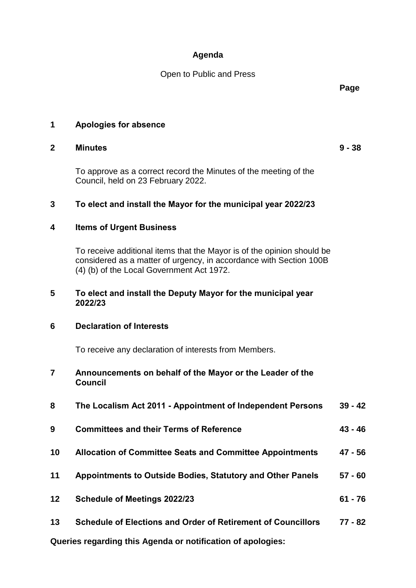## **Agenda**

Open to Public and Press

**Page**

## **1 Apologies for absence**

### **2 Minutes 9 - 38**

To approve as a correct record the Minutes of the meeting of the Council, held on 23 February 2022.

# **3 To elect and install the Mayor for the municipal year 2022/23**

## **4 Items of Urgent Business**

To receive additional items that the Mayor is of the opinion should be considered as a matter of urgency, in accordance with Section 100B (4) (b) of the Local Government Act 1972.

### **5 To elect and install the Deputy Mayor for the municipal year 2022/23**

## **6 Declaration of Interests**

To receive any declaration of interests from Members.

### **7 Announcements on behalf of the Mayor or the Leader of the Council**

| 8  | The Localism Act 2011 - Appointment of Independent Persons          | $39 - 42$ |
|----|---------------------------------------------------------------------|-----------|
| 9  | <b>Committees and their Terms of Reference</b>                      | $43 - 46$ |
| 10 | <b>Allocation of Committee Seats and Committee Appointments</b>     | 47 - 56   |
| 11 | <b>Appointments to Outside Bodies, Statutory and Other Panels</b>   | $57 - 60$ |
| 12 | <b>Schedule of Meetings 2022/23</b>                                 | $61 - 76$ |
| 13 | <b>Schedule of Elections and Order of Retirement of Councillors</b> | 77 - 82   |

**Queries regarding this Agenda or notification of apologies:**